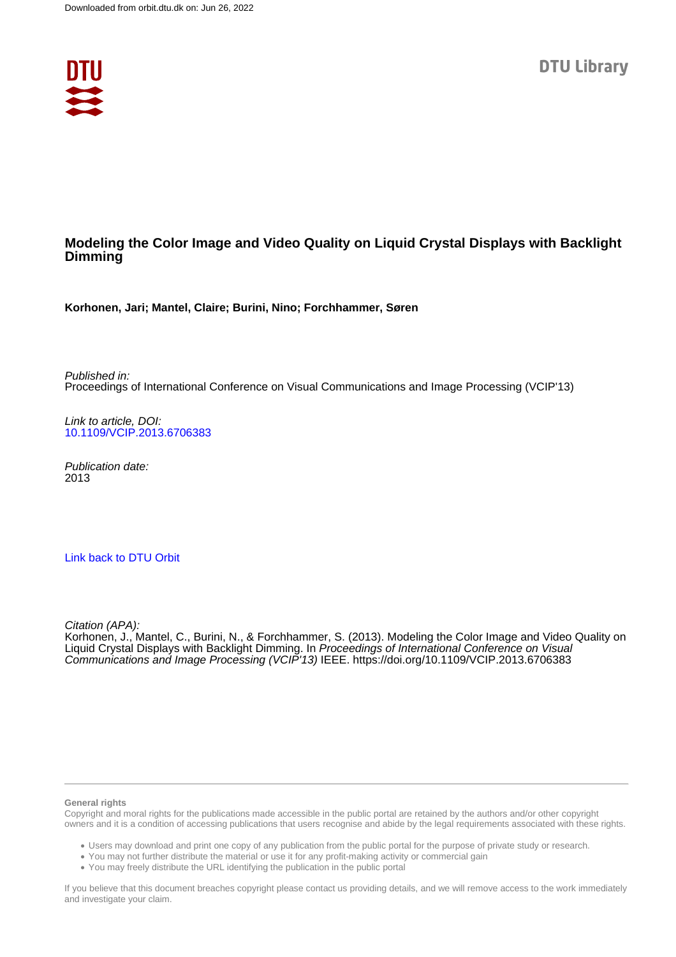

# **Modeling the Color Image and Video Quality on Liquid Crystal Displays with Backlight Dimming**

**Korhonen, Jari; Mantel, Claire; Burini, Nino; Forchhammer, Søren**

Published in: Proceedings of International Conference on Visual Communications and Image Processing (VCIP'13)

Link to article, DOI: [10.1109/VCIP.2013.6706383](https://doi.org/10.1109/VCIP.2013.6706383)

Publication date: 2013

# [Link back to DTU Orbit](https://orbit.dtu.dk/en/publications/37905584-91fe-46a0-935e-ae77763288c8)

Citation (APA):

Korhonen, J., Mantel, C., Burini, N., & Forchhammer, S. (2013). Modeling the Color Image and Video Quality on Liquid Crystal Displays with Backlight Dimming. In Proceedings of International Conference on Visual Communications and Image Processing (VCIP'13) IEEE. <https://doi.org/10.1109/VCIP.2013.6706383>

#### **General rights**

Copyright and moral rights for the publications made accessible in the public portal are retained by the authors and/or other copyright owners and it is a condition of accessing publications that users recognise and abide by the legal requirements associated with these rights.

Users may download and print one copy of any publication from the public portal for the purpose of private study or research.

- You may not further distribute the material or use it for any profit-making activity or commercial gain
- You may freely distribute the URL identifying the publication in the public portal

If you believe that this document breaches copyright please contact us providing details, and we will remove access to the work immediately and investigate your claim.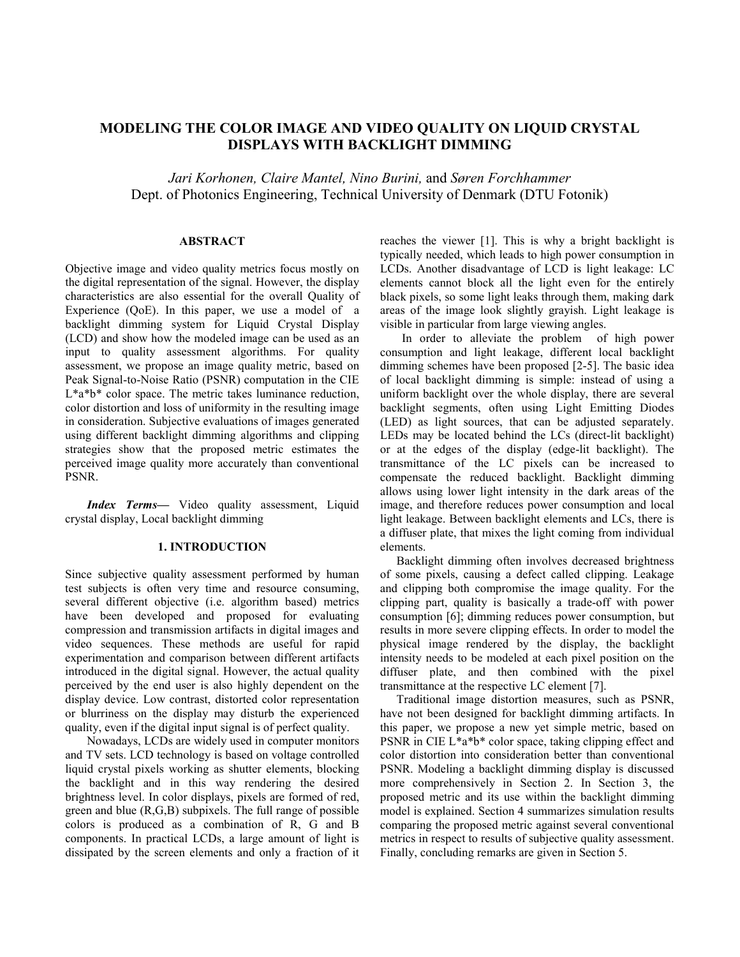# **MODELING THE COLOR IMAGE AND VIDEO QUALITY ON LIQUID CRYSTAL DISPLAYS WITH BACKLIGHT DIMMING**

*Jari Korhonen, Claire Mantel, Nino Burini,* and *Søren Forchhammer* Dept. of Photonics Engineering, Technical University of Denmark (DTU Fotonik)

## **ABSTRACT**

Objective image and video quality metrics focus mostly on the digital representation of the signal. However, the display characteristics are also essential for the overall Quality of Experience (QoE). In this paper, we use a model of a backlight dimming system for Liquid Crystal Display (LCD) and show how the modeled image can be used as an input to quality assessment algorithms. For quality assessment, we propose an image quality metric, based on Peak Signal-to-Noise Ratio (PSNR) computation in the CIE  $L^*a^*b^*$  color space. The metric takes luminance reduction, color distortion and loss of uniformity in the resulting image in consideration. Subjective evaluations of images generated using different backlight dimming algorithms and clipping strategies show that the proposed metric estimates the perceived image quality more accurately than conventional PSNR.

*Index Terms—* Video quality assessment, Liquid crystal display, Local backlight dimming

### **1. INTRODUCTION**

Since subjective quality assessment performed by human test subjects is often very time and resource consuming, several different objective (i.e. algorithm based) metrics have been developed and proposed for evaluating compression and transmission artifacts in digital images and video sequences. These methods are useful for rapid experimentation and comparison between different artifacts introduced in the digital signal. However, the actual quality perceived by the end user is also highly dependent on the display device. Low contrast, distorted color representation or blurriness on the display may disturb the experienced quality, even if the digital input signal is of perfect quality.

Nowadays, LCDs are widely used in computer monitors and TV sets. LCD technology is based on voltage controlled liquid crystal pixels working as shutter elements, blocking the backlight and in this way rendering the desired brightness level. In color displays, pixels are formed of red, green and blue (R,G,B) subpixels. The full range of possible colors is produced as a combination of R, G and B components. In practical LCDs, a large amount of light is dissipated by the screen elements and only a fraction of it

reaches the viewer [1]. This is why a bright backlight is typically needed, which leads to high power consumption in LCDs. Another disadvantage of LCD is light leakage: LC elements cannot block all the light even for the entirely black pixels, so some light leaks through them, making dark areas of the image look slightly grayish. Light leakage is visible in particular from large viewing angles.

In order to alleviate the problem of high power consumption and light leakage, different local backlight dimming schemes have been proposed [2-5]. The basic idea of local backlight dimming is simple: instead of using a uniform backlight over the whole display, there are several backlight segments, often using Light Emitting Diodes (LED) as light sources, that can be adjusted separately. LEDs may be located behind the LCs (direct-lit backlight) or at the edges of the display (edge-lit backlight). The transmittance of the LC pixels can be increased to compensate the reduced backlight. Backlight dimming allows using lower light intensity in the dark areas of the image, and therefore reduces power consumption and local light leakage. Between backlight elements and LCs, there is a diffuser plate, that mixes the light coming from individual elements.

Backlight dimming often involves decreased brightness of some pixels, causing a defect called clipping. Leakage and clipping both compromise the image quality. For the clipping part, quality is basically a trade-off with power consumption [6]; dimming reduces power consumption, but results in more severe clipping effects. In order to model the physical image rendered by the display, the backlight intensity needs to be modeled at each pixel position on the diffuser plate, and then combined with the pixel transmittance at the respective LC element [7].

Traditional image distortion measures, such as PSNR, have not been designed for backlight dimming artifacts. In this paper, we propose a new yet simple metric, based on PSNR in CIE L\*a\*b\* color space, taking clipping effect and color distortion into consideration better than conventional PSNR. Modeling a backlight dimming display is discussed more comprehensively in Section 2. In Section 3, the proposed metric and its use within the backlight dimming model is explained. Section 4 summarizes simulation results comparing the proposed metric against several conventional metrics in respect to results of subjective quality assessment. Finally, concluding remarks are given in Section 5.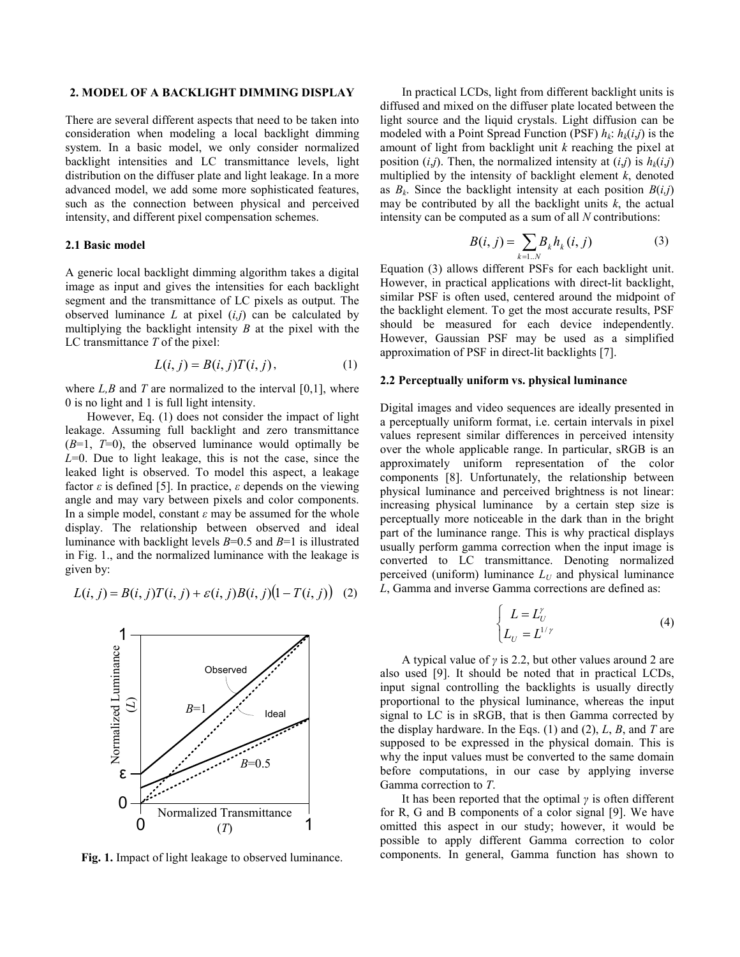#### **2. MODEL OF A BACKLIGHT DIMMING DISPLAY**

There are several different aspects that need to be taken into consideration when modeling a local backlight dimming system. In a basic model, we only consider normalized backlight intensities and LC transmittance levels, light distribution on the diffuser plate and light leakage. In a more advanced model, we add some more sophisticated features, such as the connection between physical and perceived intensity, and different pixel compensation schemes.

#### **2.1 Basic model**

A generic local backlight dimming algorithm takes a digital image as input and gives the intensities for each backlight segment and the transmittance of LC pixels as output. The observed luminance  $L$  at pixel  $(i,j)$  can be calculated by multiplying the backlight intensity *B* at the pixel with the LC transmittance *T* of the pixel:

$$
L(i, j) = B(i, j)T(i, j), \tag{1}
$$

where  $L, B$  and  $T$  are normalized to the interval  $[0,1]$ , where 0 is no light and 1 is full light intensity.

However, Eq. (1) does not consider the impact of light leakage. Assuming full backlight and zero transmittance  $(B=1, T=0)$ , the observed luminance would optimally be *L*=0. Due to light leakage, this is not the case, since the leaked light is observed. To model this aspect, a leakage factor *ε* is defined [5]. In practice, *ε* depends on the viewing angle and may vary between pixels and color components. In a simple model, constant  $\varepsilon$  may be assumed for the whole display. The relationship between observed and ideal luminance with backlight levels *B*=0.5 and *B*=1 is illustrated in Fig. 1., and the normalized luminance with the leakage is given by:

$$
L(i, j) = B(i, j)T(i, j) + \varepsilon(i, j)B(i, j)(1 - T(i, j))
$$
 (2)



**Fig. 1.** Impact of light leakage to observed luminance.

In practical LCDs, light from different backlight units is diffused and mixed on the diffuser plate located between the light source and the liquid crystals. Light diffusion can be modeled with a Point Spread Function (PSF)  $h_k$ :  $h_k(i,j)$  is the amount of light from backlight unit *k* reaching the pixel at position  $(i,j)$ . Then, the normalized intensity at  $(i,j)$  is  $h_k(i,j)$ multiplied by the intensity of backlight element *k*, denoted as  $B_k$ . Since the backlight intensity at each position  $B(i,j)$ may be contributed by all the backlight units  $k$ , the actual intensity can be computed as a sum of all *N* contributions:

$$
B(i, j) = \sum_{k=1..N} B_k h_k(i, j)
$$
 (3)

Equation (3) allows different PSFs for each backlight unit. However, in practical applications with direct-lit backlight, similar PSF is often used, centered around the midpoint of the backlight element. To get the most accurate results, PSF should be measured for each device independently. However, Gaussian PSF may be used as a simplified approximation of PSF in direct-lit backlights [7].

### **2.2 Perceptually uniform vs. physical luminance**

Digital images and video sequences are ideally presented in a perceptually uniform format, i.e. certain intervals in pixel values represent similar differences in perceived intensity over the whole applicable range. In particular, sRGB is an approximately uniform representation of the color components [8]. Unfortunately, the relationship between physical luminance and perceived brightness is not linear: increasing physical luminance by a certain step size is perceptually more noticeable in the dark than in the bright part of the luminance range. This is why practical displays usually perform gamma correction when the input image is converted to LC transmittance. Denoting normalized perceived (uniform) luminance  $L_U$  and physical luminance *L*, Gamma and inverse Gamma corrections are defined as:

$$
\begin{cases}\nL = L_U^{\gamma} \\
L_U = L^{1/\gamma}\n\end{cases} (4)
$$

A typical value of *γ* is 2.2, but other values around 2 are also used [9]. It should be noted that in practical LCDs, input signal controlling the backlights is usually directly proportional to the physical luminance, whereas the input signal to LC is in sRGB, that is then Gamma corrected by the display hardware. In the Eqs. (1) and (2), *L*, *B*, and *T* are supposed to be expressed in the physical domain. This is why the input values must be converted to the same domain before computations, in our case by applying inverse Gamma correction to *T*.

It has been reported that the optimal *γ* is often different for R, G and B components of a color signal [9]. We have omitted this aspect in our study; however, it would be possible to apply different Gamma correction to color components. In general, Gamma function has shown to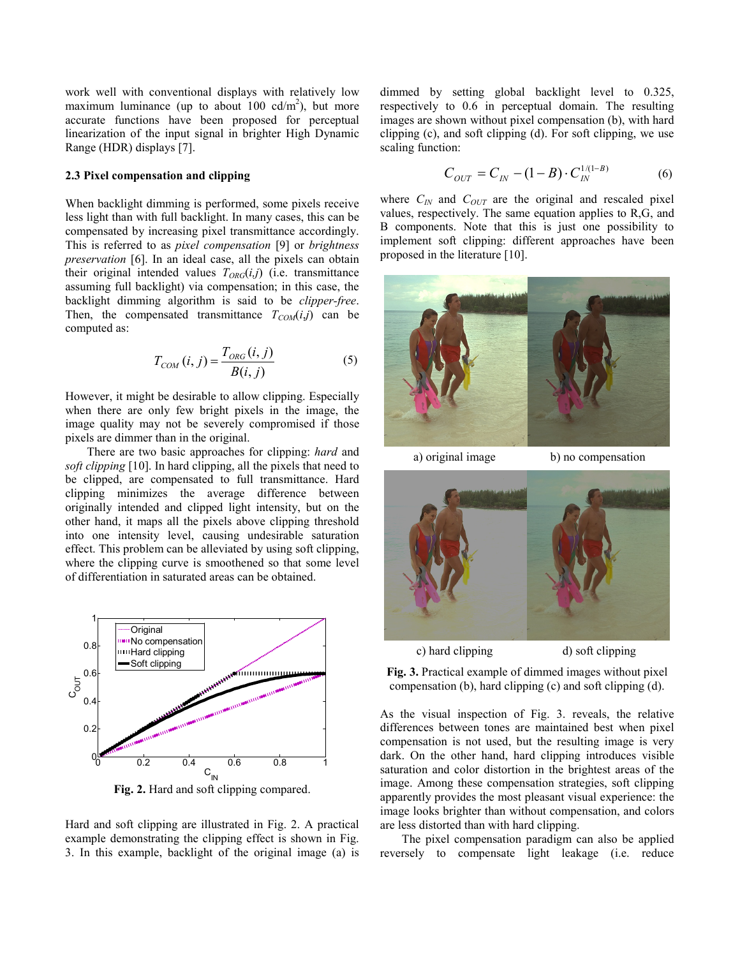work well with conventional displays with relatively low maximum luminance (up to about  $100 \text{ cd/m}^2$ ), but more accurate functions have been proposed for perceptual linearization of the input signal in brighter High Dynamic Range (HDR) displays [7].

### **2.3 Pixel compensation and clipping**

When backlight dimming is performed, some pixels receive less light than with full backlight. In many cases, this can be compensated by increasing pixel transmittance accordingly. This is referred to as *pixel compensation* [9] or *brightness preservation* [6]. In an ideal case, all the pixels can obtain their original intended values  $T_{ORG}(i,j)$  (i.e. transmittance assuming full backlight) via compensation; in this case, the backlight dimming algorithm is said to be *clipper-free*. Then, the compensated transmittance  $T_{COM}(i,j)$  can be computed as:

$$
T_{COM}(i, j) = \frac{T_{ORG}(i, j)}{B(i, j)}
$$
(5)

However, it might be desirable to allow clipping. Especially when there are only few bright pixels in the image, the image quality may not be severely compromised if those pixels are dimmer than in the original.

There are two basic approaches for clipping: *hard* and *soft clipping* [10]. In hard clipping, all the pixels that need to be clipped, are compensated to full transmittance. Hard clipping minimizes the average difference between originally intended and clipped light intensity, but on the other hand, it maps all the pixels above clipping threshold into one intensity level, causing undesirable saturation effect. This problem can be alleviated by using soft clipping, where the clipping curve is smoothened so that some level of differentiation in saturated areas can be obtained.



**Fig. 2.** Hard and soft clipping compared.

Hard and soft clipping are illustrated in Fig. 2. A practical example demonstrating the clipping effect is shown in Fig. 3. In this example, backlight of the original image (a) is dimmed by setting global backlight level to 0.325, respectively to 0.6 in perceptual domain. The resulting images are shown without pixel compensation (b), with hard clipping (c), and soft clipping (d). For soft clipping, we use scaling function:

$$
C_{OUT} = C_{IN} - (1 - B) \cdot C_{IN}^{1/(1 - B)}
$$
 (6)

where  $C_{IN}$  and  $C_{OUT}$  are the original and rescaled pixel values, respectively. The same equation applies to R,G, and B components. Note that this is just one possibility to implement soft clipping: different approaches have been proposed in the literature [10].



a) original image b) no compensation



c) hard clipping d) soft clipping

**Fig. 3.** Practical example of dimmed images without pixel compensation (b), hard clipping (c) and soft clipping (d).

As the visual inspection of Fig. 3. reveals, the relative differences between tones are maintained best when pixel compensation is not used, but the resulting image is very dark. On the other hand, hard clipping introduces visible saturation and color distortion in the brightest areas of the image. Among these compensation strategies, soft clipping apparently provides the most pleasant visual experience: the image looks brighter than without compensation, and colors are less distorted than with hard clipping.

The pixel compensation paradigm can also be applied reversely to compensate light leakage (i.e. reduce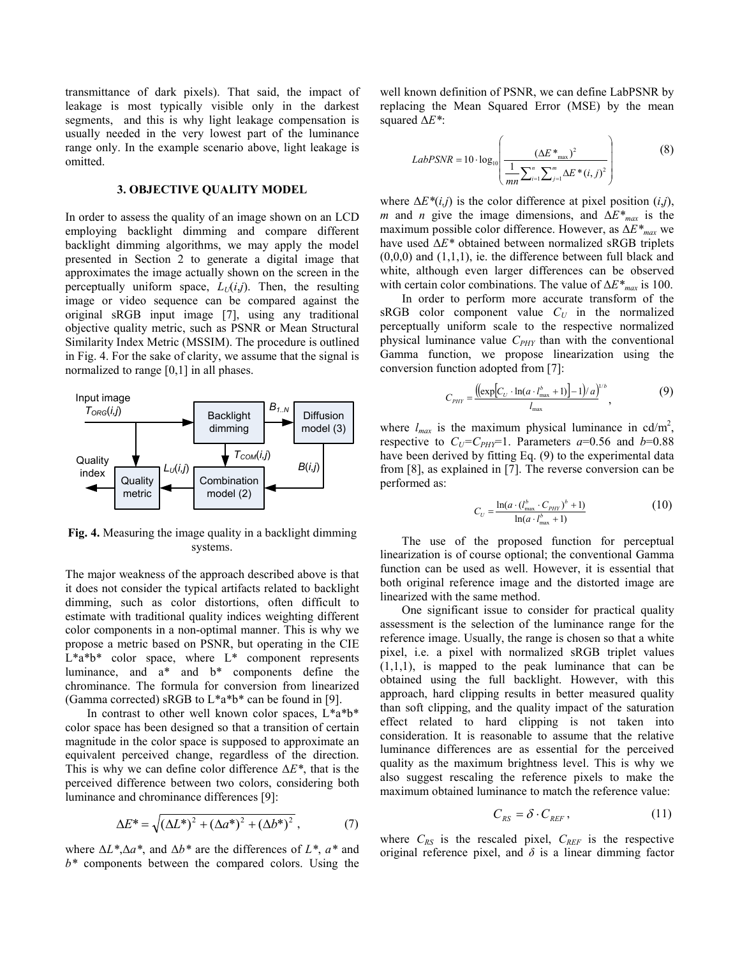transmittance of dark pixels). That said, the impact of leakage is most typically visible only in the darkest segments, and this is why light leakage compensation is usually needed in the very lowest part of the luminance range only. In the example scenario above, light leakage is omitted.

#### **3. OBJECTIVE QUALITY MODEL**

In order to assess the quality of an image shown on an LCD employing backlight dimming and compare different backlight dimming algorithms, we may apply the model presented in Section 2 to generate a digital image that approximates the image actually shown on the screen in the perceptually uniform space,  $L_U(i,j)$ . Then, the resulting image or video sequence can be compared against the original sRGB input image [7], using any traditional objective quality metric, such as PSNR or Mean Structural Similarity Index Metric (MSSIM). The procedure is outlined in Fig. 4. For the sake of clarity, we assume that the signal is normalized to range [0,1] in all phases.



**Fig. 4.** Measuring the image quality in a backlight dimming systems.

The major weakness of the approach described above is that it does not consider the typical artifacts related to backlight dimming, such as color distortions, often difficult to estimate with traditional quality indices weighting different color components in a non-optimal manner. This is why we propose a metric based on PSNR, but operating in the CIE L\*a\*b\* color space, where L\* component represents luminance, and a\* and b\* components define the chrominance. The formula for conversion from linearized (Gamma corrected) sRGB to  $L^*a^*b^*$  can be found in [9].

In contrast to other well known color spaces, L\*a\*b\* color space has been designed so that a transition of certain magnitude in the color space is supposed to approximate an equivalent perceived change, regardless of the direction. This is why we can define color difference Δ*E\**, that is the perceived difference between two colors, considering both luminance and chrominance differences [9]:

$$
\Delta E^* = \sqrt{(\Delta L^*)^2 + (\Delta a^*)^2 + (\Delta b^*)^2},
$$
 (7)

where Δ*L\**,Δ*a\**, and Δ*b\** are the differences of *L\**, *a\** and *b\** components between the compared colors. Using the

well known definition of PSNR, we can define LabPSNR by replacing the Mean Squared Error (MSE) by the mean squared Δ*E\**:

$$
LabPSNR = 10 \cdot \log_{10} \left( \frac{(\Delta E^*_{\text{max}})^2}{\frac{1}{mn} \sum_{i=1}^n \sum_{j=1}^m \Delta E^*(i, j)^2} \right)
$$
(8)

where  $\Delta E^*(i,j)$  is the color difference at pixel position  $(i,j)$ , *m* and *n* give the image dimensions, and  $\Delta E^*_{max}$  is the maximum possible color difference. However, as Δ*E\*max* we have used Δ*E\** obtained between normalized sRGB triplets  $(0,0,0)$  and  $(1,1,1)$ , ie. the difference between full black and white, although even larger differences can be observed with certain color combinations. The value of Δ*E\*max* is 100.

In order to perform more accurate transform of the  $sRGB$  color component value  $C_U$  in the normalized perceptually uniform scale to the respective normalized physical luminance value *C<sub>PHY</sub>* than with the conventional Gamma function, we propose linearization using the conversion function adopted from [7]:

$$
C_{PHY} = \frac{((\exp[C_U \cdot \ln(a \cdot l_{\max}^b + 1)] - 1)/a)^{1/b}}{l_{\max}},
$$
 (9)

where  $l_{max}$  is the maximum physical luminance in cd/m<sup>2</sup>, respective to  $C_U = C_{PHY} = 1$ . Parameters  $a = 0.56$  and  $b = 0.88$ have been derived by fitting Eq. (9) to the experimental data from [8], as explained in [7]. The reverse conversion can be performed as:

$$
C_U = \frac{\ln(a \cdot (l_{\text{max}}^b \cdot C_{\text{PHY}})^b + 1)}{\ln(a \cdot l_{\text{max}}^b + 1)}
$$
(10)

The use of the proposed function for perceptual linearization is of course optional; the conventional Gamma function can be used as well. However, it is essential that both original reference image and the distorted image are linearized with the same method.

One significant issue to consider for practical quality assessment is the selection of the luminance range for the reference image. Usually, the range is chosen so that a white pixel, i.e. a pixel with normalized sRGB triplet values  $(1,1,1)$ , is mapped to the peak luminance that can be obtained using the full backlight. However, with this approach, hard clipping results in better measured quality than soft clipping, and the quality impact of the saturation effect related to hard clipping is not taken into consideration. It is reasonable to assume that the relative luminance differences are as essential for the perceived quality as the maximum brightness level. This is why we also suggest rescaling the reference pixels to make the maximum obtained luminance to match the reference value:

$$
C_{RS} = \delta \cdot C_{REF},\qquad(11)
$$

where  $C_{RS}$  is the rescaled pixel,  $C_{REF}$  is the respective original reference pixel, and  $\delta$  is a linear dimming factor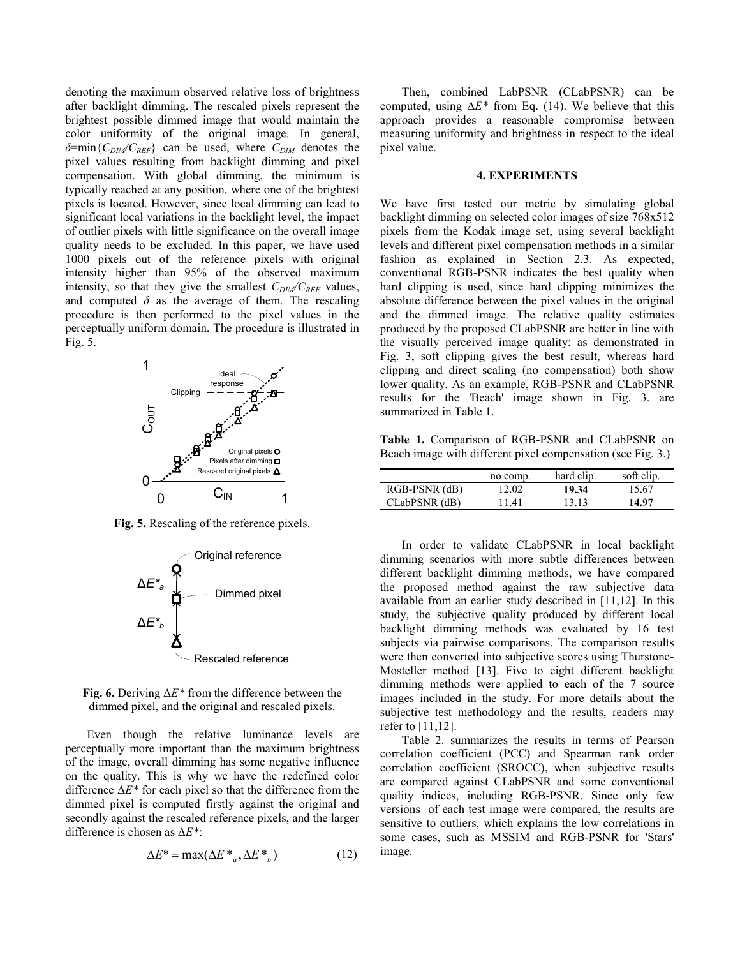denoting the maximum observed relative loss of brightness after backlight dimming. The rescaled pixels represent the brightest possible dimmed image that would maintain the color uniformity of the original image. In general, *δ*=min{*C<sub>DIM</sub>*/*C<sub>REF</sub>*} can be used, where *C<sub>DIM</sub>* denotes the pixel values resulting from backlight dimming and pixel compensation. With global dimming, the minimum is typically reached at any position, where one of the brightest pixels is located. However, since local dimming can lead to significant local variations in the backlight level, the impact of outlier pixels with little significance on the overall image quality needs to be excluded. In this paper, we have used 1000 pixels out of the reference pixels with original intensity higher than 95% of the observed maximum intensity, so that they give the smallest  $C_{DM}/C_{REF}$  values, and computed  $\delta$  as the average of them. The rescaling procedure is then performed to the pixel values in the perceptually uniform domain. The procedure is illustrated in Fig. 5.



**Fig. 5.** Rescaling of the reference pixels.



**Fig. 6.** Deriving Δ*E\** from the difference between the dimmed pixel, and the original and rescaled pixels.

Even though the relative luminance levels are perceptually more important than the maximum brightness of the image, overall dimming has some negative influence on the quality. This is why we have the redefined color difference Δ*E\** for each pixel so that the difference from the dimmed pixel is computed firstly against the original and secondly against the rescaled reference pixels, and the larger difference is chosen as Δ*E\**:

$$
\Delta E^* = \max(\Delta E^*_{a}, \Delta E^*_{b})
$$
 (12)

Then, combined LabPSNR (CLabPSNR) can be computed, using  $\Delta E^*$  from Eq. (14). We believe that this approach provides a reasonable compromise between measuring uniformity and brightness in respect to the ideal pixel value.

#### **4. EXPERIMENTS**

We have first tested our metric by simulating global backlight dimming on selected color images of size 768x512 pixels from the Kodak image set, using several backlight levels and different pixel compensation methods in a similar fashion as explained in Section 2.3. As expected, conventional RGB-PSNR indicates the best quality when hard clipping is used, since hard clipping minimizes the absolute difference between the pixel values in the original and the dimmed image. The relative quality estimates produced by the proposed CLabPSNR are better in line with the visually perceived image quality: as demonstrated in Fig. 3, soft clipping gives the best result, whereas hard clipping and direct scaling (no compensation) both show lower quality. As an example, RGB-PSNR and CLabPSNR results for the 'Beach' image shown in Fig. 3. are summarized in Table 1.

**Table 1.** Comparison of RGB-PSNR and CLabPSNR on Beach image with different pixel compensation (see Fig. 3.)

|               | no comp. | hard clip. | soft clip. |
|---------------|----------|------------|------------|
| RGB-PSNR (dB) | 12.02    | 19.34      | 15.67      |
| CLabPSNR (dB) | 1141     | 13 13      | 14.97      |

In order to validate CLabPSNR in local backlight dimming scenarios with more subtle differences between different backlight dimming methods, we have compared the proposed method against the raw subjective data available from an earlier study described in [11,12]. In this study, the subjective quality produced by different local backlight dimming methods was evaluated by 16 test subjects via pairwise comparisons. The comparison results were then converted into subjective scores using Thurstone-Mosteller method [13]. Five to eight different backlight dimming methods were applied to each of the 7 source images included in the study. For more details about the subjective test methodology and the results, readers may refer to [11,12].

Table 2. summarizes the results in terms of Pearson correlation coefficient (PCC) and Spearman rank order correlation coefficient (SROCC), when subjective results are compared against CLabPSNR and some conventional quality indices, including RGB-PSNR. Since only few versions of each test image were compared, the results are sensitive to outliers, which explains the low correlations in some cases, such as MSSIM and RGB-PSNR for 'Stars' image.